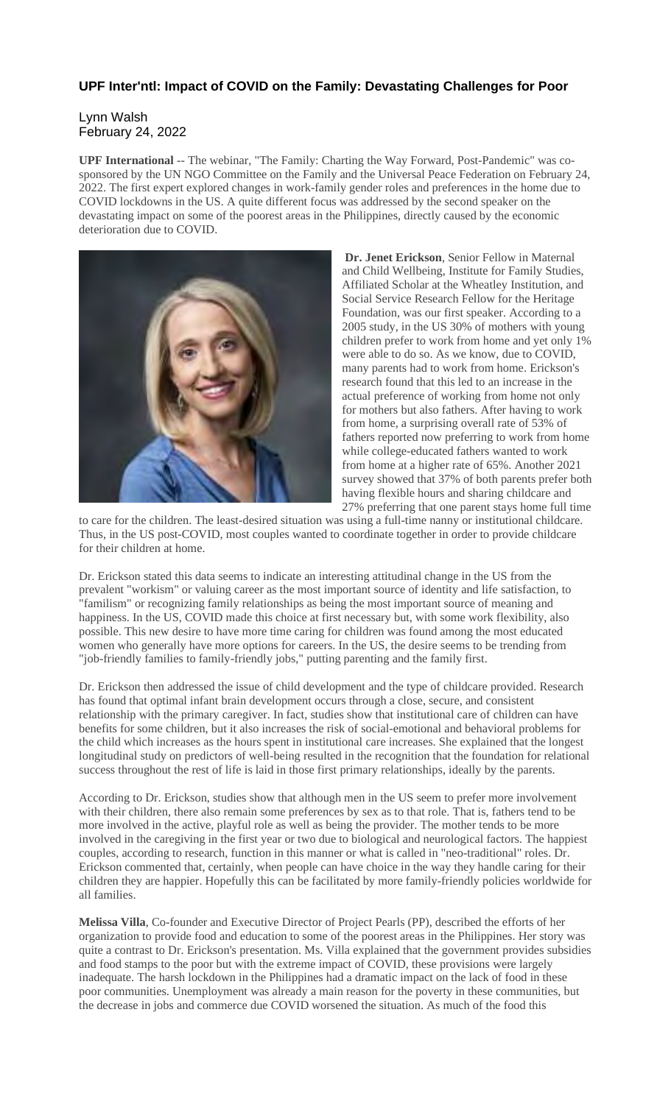## **UPF Inter'ntl: Impact of COVID on the Family: Devastating Challenges for Poor**

## Lynn Walsh February 24, 2022

**UPF International** -- The webinar, "The Family: Charting the Way Forward, Post-Pandemic" was cosponsored by the UN NGO Committee on the Family and the Universal Peace Federation on February 24, 2022. The first expert explored changes in work-family gender roles and preferences in the home due to COVID lockdowns in the US. A quite different focus was addressed by the second speaker on the devastating impact on some of the poorest areas in the Philippines, directly caused by the economic deterioration due to COVID.



**Dr. Jenet Erickson**, Senior Fellow in Maternal and Child Wellbeing, Institute for Family Studies, Affiliated Scholar at the Wheatley Institution, and Social Service Research Fellow for the Heritage Foundation, was our first speaker. According to a 2005 study, in the US 30% of mothers with young children prefer to work from home and yet only 1% were able to do so. As we know, due to COVID, many parents had to work from home. Erickson's research found that this led to an increase in the actual preference of working from home not only for mothers but also fathers. After having to work from home, a surprising overall rate of 53% of fathers reported now preferring to work from home while college-educated fathers wanted to work from home at a higher rate of 65%. Another 2021 survey showed that 37% of both parents prefer both having flexible hours and sharing childcare and 27% preferring that one parent stays home full time

to care for the children. The least-desired situation was using a full-time nanny or institutional childcare. Thus, in the US post-COVID, most couples wanted to coordinate together in order to provide childcare for their children at home.

Dr. Erickson stated this data seems to indicate an interesting attitudinal change in the US from the prevalent "workism" or valuing career as the most important source of identity and life satisfaction, to "familism" or recognizing family relationships as being the most important source of meaning and happiness. In the US, COVID made this choice at first necessary but, with some work flexibility, also possible. This new desire to have more time caring for children was found among the most educated women who generally have more options for careers. In the US, the desire seems to be trending from "job-friendly families to family-friendly jobs," putting parenting and the family first.

Dr. Erickson then addressed the issue of child development and the type of childcare provided. Research has found that optimal infant brain development occurs through a close, secure, and consistent relationship with the primary caregiver. In fact, studies show that institutional care of children can have benefits for some children, but it also increases the risk of social-emotional and behavioral problems for the child which increases as the hours spent in institutional care increases. She explained that the longest longitudinal study on predictors of well-being resulted in the recognition that the foundation for relational success throughout the rest of life is laid in those first primary relationships, ideally by the parents.

According to Dr. Erickson, studies show that although men in the US seem to prefer more involvement with their children, there also remain some preferences by sex as to that role. That is, fathers tend to be more involved in the active, playful role as well as being the provider. The mother tends to be more involved in the caregiving in the first year or two due to biological and neurological factors. The happiest couples, according to research, function in this manner or what is called in "neo-traditional" roles. Dr. Erickson commented that, certainly, when people can have choice in the way they handle caring for their children they are happier. Hopefully this can be facilitated by more family-friendly policies worldwide for all families.

**Melissa Villa**, Co-founder and Executive Director of Project Pearls (PP), described the efforts of her organization to provide food and education to some of the poorest areas in the Philippines. Her story was quite a contrast to Dr. Erickson's presentation. Ms. Villa explained that the government provides subsidies and food stamps to the poor but with the extreme impact of COVID, these provisions were largely inadequate. The harsh lockdown in the Philippines had a dramatic impact on the lack of food in these poor communities. Unemployment was already a main reason for the poverty in these communities, but the decrease in jobs and commerce due COVID worsened the situation. As much of the food this